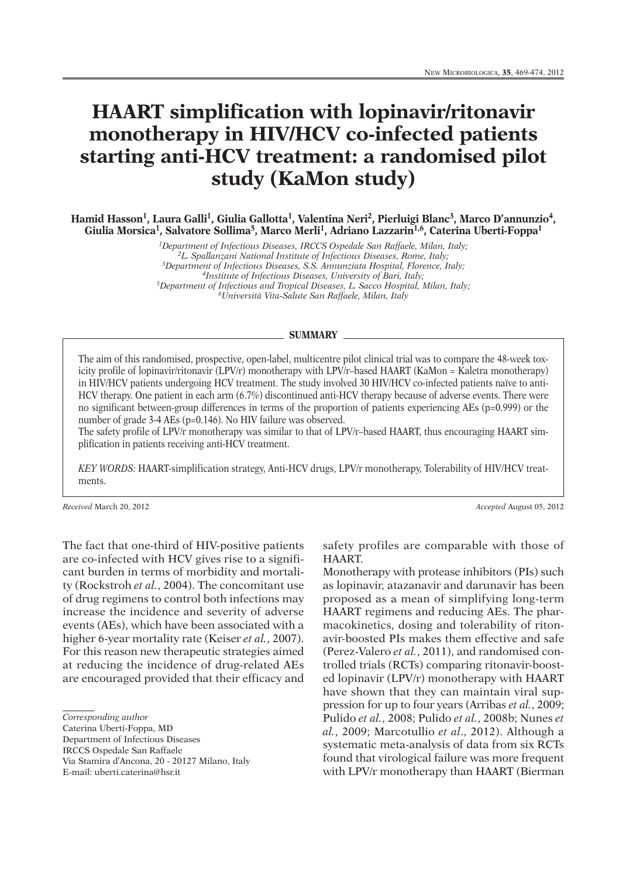## **HAART simplification with lopinavir/ritonavir monotherapy in HIV/HCV co-infected patients starting anti-HCV treatment: a randomised pilot study (KaMon study)**

**Hamid Hasson1, Laura Galli 1, Giulia Gallotta1, Valentina Neri 2, Pierluigi Blanc3, Marco D'annunzio4, Giulia Morsica1, Salvatore Sollima5, Marco Merli 1, Adriano Lazzarin1,6, Caterina Uberti-Foppa1**

> *1Department of Infectious Diseases, IRCCS Ospedale San Raffaele, Milan, Italy; 2L. Spallanzani National Institute of Infectious Diseases, Rome, Italy; 3Department of Infectious Diseases, S.S. Annunziata Hospital, Florence, Italy; 4Institute of Infectious Diseases, University of Bari, Italy; 5Department of Infectious and Tropical Diseases, L. Sacco Hospital, Milan, Italy; 6Università Vita-Salute San Raffaele, Milan, Italy*

## **SUMMARY**

The aim of this randomised, prospective, open-label, multicentre pilot clinical trial was to compare the 48-week toxicity profile of lopinavir/ritonavir (LPV/r) monotherapy with LPV/r–based HAART (KaMon = Kaletra monotherapy) in HIV/HCV patients undergoing HCV treatment. The study involved 30 HIV/HCV co-infected patients naïve to anti-HCV therapy. One patient in each arm (6.7%) discontinued anti-HCV therapy because of adverse events. There were no significant between-group differences in terms of the proportion of patients experiencing AEs (p=0.999) or the number of grade 3-4 AEs (p=0.146). No HIV failure was observed.

The safety profile of LPV/r monotherapy was similar to that of LPV/r–based HAART, thus encouraging HAART simplification in patients receiving anti-HCV treatment.

*KEY WORDS:* HAART-simplification strategy, Anti-HCV drugs, LPV/r monotherapy, Tolerability of HIV/HCV treatments.

*Received* March 20, 2012 *Accepted* August 05, 2012

The fact that one-third of HIV-positive patients are co-infected with HCV gives rise to a significant burden in terms of morbidity and mortality (Rockstroh *et al.*, 2004). The concomitant use of drug regimens to control both infections may increase the incidence and severity of adverse events (AEs), which have been associated with a higher 6-year mortality rate (Keiser *et al.*, 2007). For this reason new therapeutic strategies aimed at reducing the incidence of drug-related AEs are encouraged provided that their efficacy and

Caterina Uberti-Foppa, MD

Department of Infectious Diseases

IRCCS Ospedale San Raffaele

Via Stamira d'Ancona, 20 - 20127 Milano, Italy

E-mail: uberti.caterina@hsr.it

safety profiles are comparable with those of HAART.

Monotherapy with protease inhibitors (PIs) such as lopinavir, atazanavir and darunavir has been proposed as a mean of simplifying long-term HAART regimens and reducing AEs. The pharmacokinetics, dosing and tolerability of ritonavir-boosted PIs makes them effective and safe (Perez-Valero *et al.*, 2011), and randomised controlled trials (RCTs) comparing ritonavir-boosted lopinavir (LPV/r) monotherapy with HAART have shown that they can maintain viral suppression for up to four years (Arribas *et al.*, 2009; Pulido *et al.*, 2008; Pulido *et al.*, 2008b; Nunes *et al.*, 2009; Marcotullio *et al*., 2012). Although a systematic meta-analysis of data from six RCTs found that virological failure was more frequent with LPV/r monotherapy than HAART (Bierman

*Corresponding author*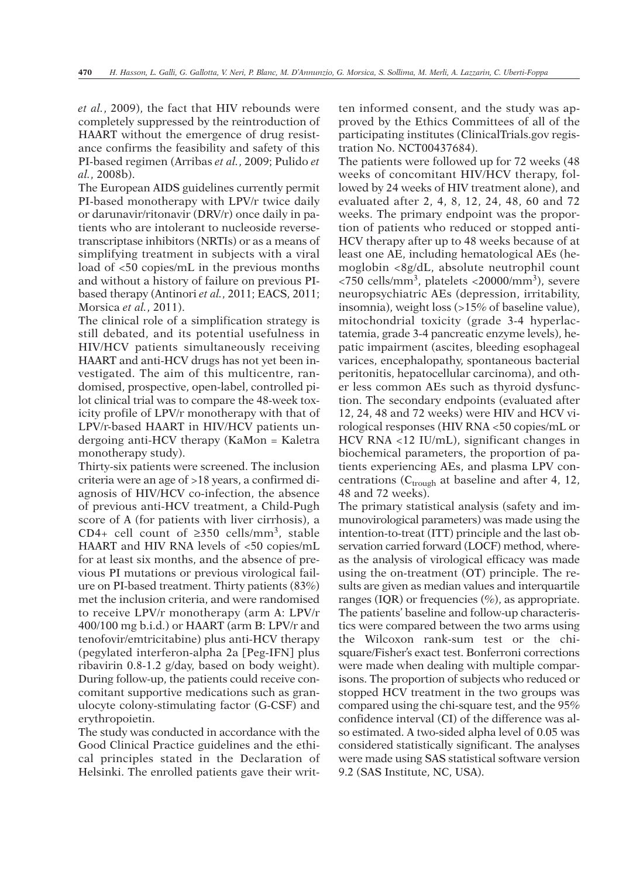*et al.*, 2009), the fact that HIV rebounds were completely suppressed by the reintroduction of HAART without the emergence of drug resistance confirms the feasibility and safety of this PI-based regimen (Arribas *et al.*, 2009; Pulido *et al.*, 2008b).

The European AIDS guidelines currently permit PI-based monotherapy with LPV/r twice daily or darunavir/ritonavir (DRV/r) once daily in patients who are intolerant to nucleoside reversetranscriptase inhibitors (NRTIs) or as a means of simplifying treatment in subjects with a viral load of <50 copies/mL in the previous months and without a history of failure on previous PIbased therapy (Antinori *et al.*, 2011; EACS, 2011; Morsica *et al.*, 2011).

The clinical role of a simplification strategy is still debated, and its potential usefulness in HIV/HCV patients simultaneously receiving HAART and anti-HCV drugs has not yet been investigated. The aim of this multicentre, randomised, prospective, open-label, controlled pilot clinical trial was to compare the 48-week toxicity profile of LPV/r monotherapy with that of LPV/r-based HAART in HIV/HCV patients undergoing anti-HCV therapy (KaMon = Kaletra monotherapy study).

Thirty-six patients were screened. The inclusion criteria were an age of >18 years, a confirmed diagnosis of HIV/HCV co-infection, the absence of previous anti-HCV treatment, a Child-Pugh score of A (for patients with liver cirrhosis), a CD4+ cell count of  $\geq$ 350 cells/mm<sup>3</sup>, stable HAART and HIV RNA levels of <50 copies/mL for at least six months, and the absence of previous PI mutations or previous virological failure on PI-based treatment. Thirty patients (83%) met the inclusion criteria, and were randomised to receive LPV/r monotherapy (arm A: LPV/r 400/100 mg b.i.d.) or HAART (arm B: LPV/r and tenofovir/emtricitabine) plus anti-HCV therapy (pegylated interferon-alpha 2a [Peg-IFN] plus ribavirin 0.8-1.2 g/day, based on body weight). During follow-up, the patients could receive concomitant supportive medications such as granulocyte colony-stimulating factor (G-CSF) and erythropoietin.

The study was conducted in accordance with the Good Clinical Practice guidelines and the ethical principles stated in the Declaration of Helsinki. The enrolled patients gave their written informed consent, and the study was approved by the Ethics Committees of all of the participating institutes (ClinicalTrials.gov registration No. NCT00437684).

The patients were followed up for 72 weeks (48 weeks of concomitant HIV/HCV therapy, followed by 24 weeks of HIV treatment alone), and evaluated after 2, 4, 8, 12, 24, 48, 60 and 72 weeks. The primary endpoint was the proportion of patients who reduced or stopped anti-HCV therapy after up to 48 weeks because of at least one AE, including hematological AEs (hemoglobin <8g/dL, absolute neutrophil count  $\langle$ 750 cells/mm<sup>3</sup>, platelets  $\langle$ 20000/mm<sup>3</sup>), severe neuropsychiatric AEs (depression, irritability, insomnia), weight loss (>15% of baseline value), mitochondrial toxicity (grade 3-4 hyperlactatemia, grade 3-4 pancreatic enzyme levels), hepatic impairment (ascites, bleeding esophageal varices, encephalopathy, spontaneous bacterial peritonitis, hepatocellular carcinoma), and other less common AEs such as thyroid dysfunction. The secondary endpoints (evaluated after 12, 24, 48 and 72 weeks) were HIV and HCV virological responses (HIV RNA <50 copies/mL or HCV RNA <12 IU/mL), significant changes in biochemical parameters, the proportion of patients experiencing AEs, and plasma LPV concentrations ( $C_{trough}$  at baseline and after 4, 12, 48 and 72 weeks).

The primary statistical analysis (safety and immunovirological parameters) was made using the intention-to-treat (ITT) principle and the last observation carried forward (LOCF) method, whereas the analysis of virological efficacy was made using the on-treatment (OT) principle. The results are given as median values and interquartile ranges (IQR) or frequencies  $(\%)$ , as appropriate. The patients' baseline and follow-up characteristics were compared between the two arms using the Wilcoxon rank-sum test or the chisquare/Fisher's exact test. Bonferroni corrections were made when dealing with multiple comparisons. The proportion of subjects who reduced or stopped HCV treatment in the two groups was compared using the chi-square test, and the 95% confidence interval (CI) of the difference was also estimated. A two-sided alpha level of 0.05 was considered statistically significant. The analyses were made using SAS statistical software version 9.2 (SAS Institute, NC, USA).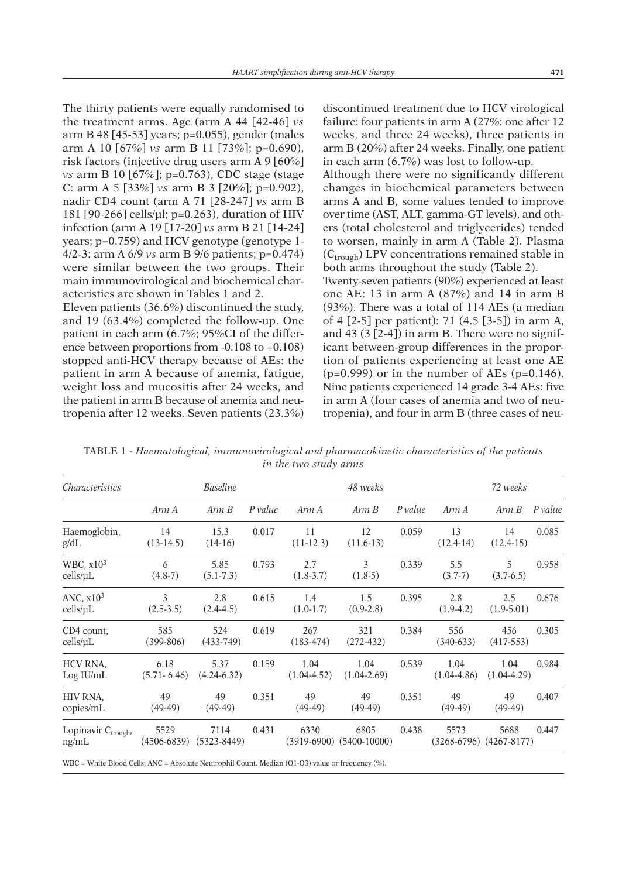The thirty patients were equally randomised to the treatment arms. Age (arm A 44 [42-46] *vs* arm B 48 [45-53] years; p=0.055), gender (males arm A 10 [67%] *vs* arm B 11 [73%]; p=0.690), risk factors (injective drug users arm A 9 [60%] *vs* arm B 10 [67%]; p=0.763), CDC stage (stage C: arm A 5 [33%] *vs* arm B 3 [20%]; p=0.902), nadir CD4 count (arm A 71 [28-247] *vs* arm B 181 [90-266] cells/µl; p=0.263), duration of HIV infection (arm A 19 [17-20] *vs* arm B 21 [14-24] years; p=0.759) and HCV genotype (genotype 1- 4/2-3: arm A 6/9 *vs* arm B 9/6 patients; p=0.474) were similar between the two groups. Their main immunovirological and biochemical characteristics are shown in Tables 1 and 2.

Eleven patients (36.6%) discontinued the study, and 19 (63.4%) completed the follow-up. One patient in each arm (6.7%; 95%CI of the difference between proportions from -0.108 to +0.108) stopped anti-HCV therapy because of AEs: the patient in arm A because of anemia, fatigue, weight loss and mucositis after 24 weeks, and the patient in arm B because of anemia and neutropenia after 12 weeks. Seven patients (23.3%) discontinued treatment due to HCV virological failure: four patients in arm A (27%: one after 12 weeks, and three 24 weeks), three patients in arm B (20%) after 24 weeks. Finally, one patient in each arm (6.7%) was lost to follow-up. Although there were no significantly different changes in biochemical parameters between arms A and B, some values tended to improve over time (AST, ALT, gamma-GT levels), and others (total cholesterol and triglycerides) tended to worsen, mainly in arm A (Table 2). Plasma  $(C_{trough})$  LPV concentrations remained stable in both arms throughout the study (Table 2).

Twenty-seven patients (90%) experienced at least one AE: 13 in arm A (87%) and 14 in arm B (93%). There was a total of 114 AEs (a median of 4 [2-5] per patient): 71 (4.5 [3-5]) in arm A, and 43 (3 [2-4]) in arm B. There were no significant between-group differences in the proportion of patients experiencing at least one AE  $(p=0.999)$  or in the number of AEs  $(p=0.146)$ . Nine patients experienced 14 grade 3-4 AEs: five in arm A (four cases of anemia and two of neutropenia), and four in arm B (three cases of neu-

TABLE 1 - *Haematological, immunovirological and pharmacokinetic characteristics of the patients in the two study arms*

| <b>Baseline</b>         |                         |         |                       | 48 weeks                | 72 weeks |                              |                         |                             |
|-------------------------|-------------------------|---------|-----------------------|-------------------------|----------|------------------------------|-------------------------|-----------------------------|
| Arm A                   | Arm B                   | P value | Arm A                 | Arm B                   | P value  | Arm A                        | Arm B                   | P value                     |
| 14<br>$(13-14.5)$       | 15.3<br>$(14-16)$       | 0.017   | 11<br>$(11-12.3)$     | 12<br>$(11.6-13)$       | 0.059    | 13<br>$(12.4-14)$            | 14<br>$(12.4-15)$       | 0.085                       |
| 6<br>$(4.8-7)$          | 5.85<br>$(5.1 - 7.3)$   | 0.793   | 2.7<br>$(1.8-3.7)$    | 3<br>$(1.8-5)$          | 0.339    | 5.5<br>$(3.7-7)$             | 5<br>$(3.7-6.5)$        | 0.958                       |
| 3<br>$(2.5-3.5)$        | 2.8<br>$(2.4-4.5)$      | 0.615   | 1.4<br>$(1.0-1.7)$    | 1.5<br>$(0.9-2.8)$      | 0.395    | 2.8<br>$(1.9-4.2)$           | 2.5<br>$(1.9 - 5.01)$   | 0.676                       |
| 585<br>$(399-806)$      | 524<br>$(433-749)$      | 0.619   | 267<br>$(183-474)$    | 321<br>$(272-432)$      | 0.384    | 556<br>$(340-633)$           | 456<br>$(417-553)$      | 0.305                       |
| 6.18<br>$(5.71 - 6.46)$ | 5.37<br>$(4.24 - 6.32)$ | 0.159   | 1.04<br>$(1.04-4.52)$ | 1.04<br>$(1.04 - 2.69)$ | 0.539    | 1.04<br>$(1.04 - 4.86)$      | 1.04<br>$(1.04 - 4.29)$ | 0.984                       |
| 49<br>$(49-49)$         | 49<br>$(49-49)$         | 0.351   | 49<br>$(49-49)$       | 49<br>$(49-49)$         | 0.351    | 49<br>$(49-49)$              | 49<br>$(49-49)$         | 0.407                       |
| 5529<br>$(4506 - 6839)$ | 7114                    | 0.431   | 6330                  | 6805                    | 0.438    | 5573                         | 5688                    | 0.447                       |
|                         |                         |         | $(5323 - 8449)$       |                         |          | $(3919-6900)$ $(5400-10000)$ |                         | $(3268-6796)$ $(4267-8177)$ |

WBC = White Blood Cells; ANC = Absolute Neutrophil Count. Median (Q1-Q3) value or frequency (%).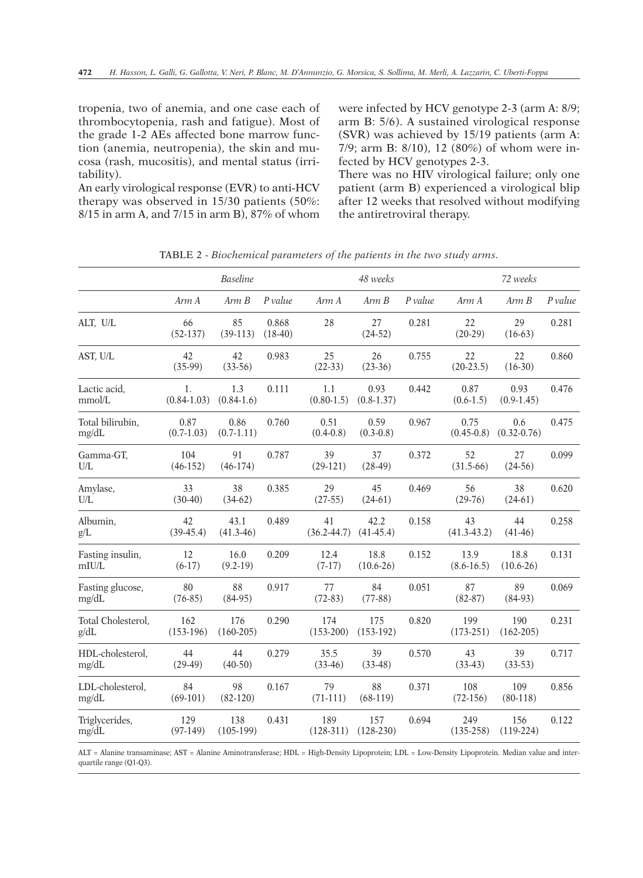tropenia, two of anemia, and one case each of thrombocytopenia, rash and fatigue). Most of the grade 1-2 AEs affected bone marrow function (anemia, neutropenia), the skin and mucosa (rash, mucositis), and mental status (irritability).

An early virological response (EVR) to anti-HCV therapy was observed in 15/30 patients (50%: 8/15 in arm A, and 7/15 in arm B), 87% of whom were infected by HCV genotype 2-3 (arm A: 8/9; arm B: 5/6). A sustained virological response (SVR) was achieved by 15/19 patients (arm A: 7/9; arm B: 8/10), 12 (80%) of whom were infected by HCV genotypes 2-3.

There was no HIV virological failure; only one patient (arm B) experienced a virological blip after 12 weeks that resolved without modifying the antiretroviral therapy.

|                                                                      | <b>Baseline</b>                                |                     |                    | 48 weeks                        |                      |           | 72 weeks               |                                   |         |
|----------------------------------------------------------------------|------------------------------------------------|---------------------|--------------------|---------------------------------|----------------------|-----------|------------------------|-----------------------------------|---------|
|                                                                      | Arm A                                          | Arm B               | P value            | Arm A                           | Arm B                | $P$ value | Arm A                  | Arm B                             | P value |
| ALT, U/L                                                             | 66<br>$(52-137)$                               | 85<br>$(39-113)$    | 0.868<br>$(18-40)$ | 28                              | 27<br>$(24-52)$      | 0.281     | 22<br>$(20-29)$        | 29<br>$(16-63)$                   | 0.281   |
| AST, U/L                                                             | 42<br>$(35-99)$                                | 42<br>$(33-56)$     | 0.983              | 25<br>$(22-33)$                 | 26<br>$(23-36)$      | 0.755     | 22<br>$(20-23.5)$      | 22<br>$(16-30)$                   | 0.860   |
| Lactic acid,<br>mmol/L                                               | $\overline{1}$ .<br>$(0.84-1.03)$ $(0.84-1.6)$ | 1.3                 | 0.111              | 1.1<br>$(0.80-1.5)$             | 0.93<br>$(0.8-1.37)$ | 0.442     | 0.87<br>$(0.6-1.5)$    | 0.93<br>$(0.9-1.45)$              | 0.476   |
| Total bilirubin,<br>mg/dL                                            | 0.87<br>$(0.7-1.03)$ $(0.7-1.11)$              | 0.86                | 0.760              | 0.51<br>$(0.4 - 0.8)$           | 0.59<br>$(0.3-0.8)$  | 0.967     | 0.75                   | 0.6<br>$(0.45-0.8)$ $(0.32-0.76)$ | 0.475   |
| Gamma-GT,<br>U/L                                                     | 104<br>$(46-152)$                              | 91<br>$(46-174)$    | 0.787              | 39<br>$(29-121)$                | 37<br>$(28-49)$      | 0.372     | 52<br>$(31.5-66)$      | 27<br>$(24-56)$                   | 0.099   |
| Amylase,<br>$\ensuremath{\mathrm{U}}\xspace/\ensuremath{\mathrm{L}}$ | 33<br>$(30-40)$                                | 38<br>$(34-62)$     | 0.385              | 29<br>$(27-55)$                 | 45<br>$(24-61)$      | 0.469     | 56<br>$(29-76)$        | 38<br>$(24-61)$                   | 0.620   |
| Albumin,<br>g/L                                                      | 42<br>$(39-45.4)$                              | 43.1<br>$(41.3-46)$ | 0.489              | 41<br>$(36.2-44.7)$ $(41-45.4)$ | 42.2                 | 0.158     | 43<br>$(41.3 - 43.2)$  | 44<br>$(41-46)$                   | 0.258   |
| Fasting insulin,<br>mIU/L                                            | 12<br>$(6-17)$                                 | 16.0<br>$(9.2-19)$  | 0.209              | 12.4<br>$(7-17)$                | 18.8<br>$(10.6-26)$  | 0.152     | 13.9<br>$(8.6 - 16.5)$ | 18.8<br>$(10.6-26)$               | 0.131   |
| Fasting glucose,<br>mg/dL                                            | 80<br>$(76-85)$                                | 88<br>$(84-95)$     | 0.917              | 77<br>$(72-83)$                 | 84<br>$(77-88)$      | 0.051     | 87<br>$(82-87)$        | 89<br>$(84-93)$                   | 0.069   |
| Total Cholesterol,<br>g/dL                                           | 162<br>$(153-196)$                             | 176<br>$(160-205)$  | 0.290              | 174<br>$(153-200)$              | 175<br>$(153-192)$   | 0.820     | 199<br>$(173-251)$     | 190<br>$(162 - 205)$              | 0.231   |
| HDL-cholesterol,<br>mg/dL                                            | 44<br>$(29-49)$                                | 44<br>$(40-50)$     | 0.279              | 35.5<br>$(33-46)$               | 39<br>$(33-48)$      | 0.570     | 43<br>$(33-43)$        | 39<br>$(33-53)$                   | 0.717   |
| LDL-cholesterol,<br>mg/dL                                            | 84<br>$(69-101)$                               | 98<br>$(82-120)$    | 0.167              | 79<br>$(71-111)$                | 88<br>$(68-119)$     | 0.371     | 108<br>$(72-156)$      | 109<br>$(80-118)$                 | 0.856   |
| Triglycerides,<br>mg/dL                                              | 129<br>$(97-149)$                              | 138<br>$(105-199)$  | 0.431              | 189<br>$(128-311)$              | 157<br>$(128-230)$   | 0.694     | 249<br>$(135-258)$     | 156<br>$(119-224)$                | 0.122   |
|                                                                      |                                                |                     |                    |                                 |                      |           |                        |                                   |         |

TABLE 2 - *Biochemical parameters of the patients in the two study arms.*

ALT = Alanine transaminase; AST = Alanine Aminotransferase; HDL = High-Density Lipoprotein; LDL = Low-Density Lipoprotein. Median value and interquartile range (Q1-Q3).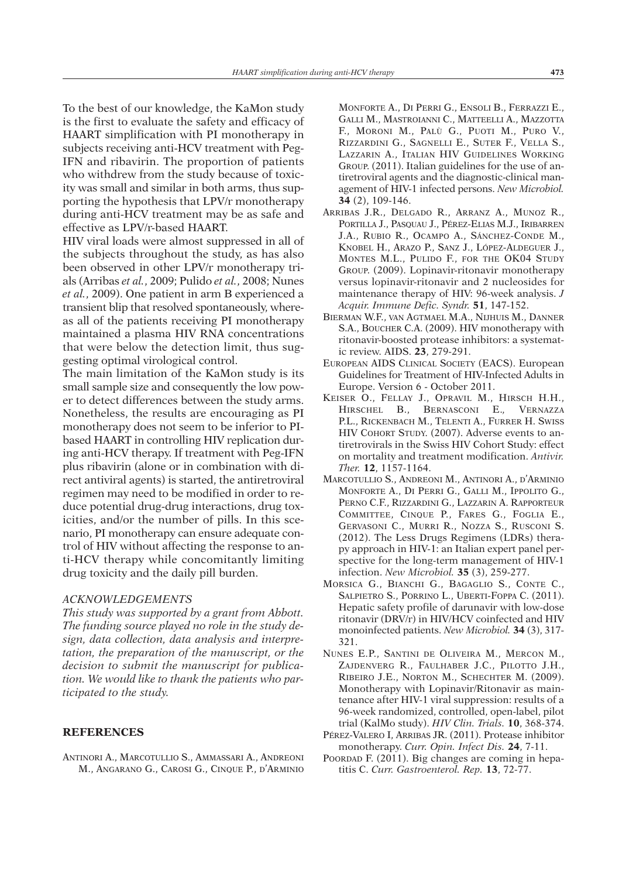To the best of our knowledge, the KaMon study is the first to evaluate the safety and efficacy of HAART simplification with PI monotherapy in subjects receiving anti-HCV treatment with Peg-IFN and ribavirin. The proportion of patients who withdrew from the study because of toxicity was small and similar in both arms, thus supporting the hypothesis that LPV/r monotherapy during anti-HCV treatment may be as safe and effective as LPV/r-based HAART.

HIV viral loads were almost suppressed in all of the subjects throughout the study, as has also been observed in other LPV/r monotherapy trials (Arribas *et al.*, 2009; Pulido *et al.*, 2008; Nunes *et al.*, 2009). One patient in arm B experienced a transient blip that resolved spontaneously, whereas all of the patients receiving PI monotherapy maintained a plasma HIV RNA concentrations that were below the detection limit, thus suggesting optimal virological control.

The main limitation of the KaMon study is its small sample size and consequently the low power to detect differences between the study arms. Nonetheless, the results are encouraging as PI monotherapy does not seem to be inferior to PIbased HAART in controlling HIV replication during anti-HCV therapy. If treatment with Peg-IFN plus ribavirin (alone or in combination with direct antiviral agents) is started, the antiretroviral regimen may need to be modified in order to reduce potential drug-drug interactions, drug toxicities, and/or the number of pills. In this scenario, PI monotherapy can ensure adequate control of HIV without affecting the response to anti-HCV therapy while concomitantly limiting drug toxicity and the daily pill burden.

## *ACKNOWLEDGEMENTS*

*This study was supported by a grant from Abbott. The funding source played no role in the study design, data collection, data analysis and interpretation, the preparation of the manuscript, or the decision to submit the manuscript for publication. We would like to thank the patients who participated to the study.*

## **REFERENCES**

ANTINORI A., MARCOTULLIO S., AMMASSARI A., ANDREONI M., ANGARANO G., CAROSI G., CINQUE P., D'ARMINIO MONFORTE A., DI PERRI G., ENSOLI B., FERRAZZI E., GALLI M., MASTROIANNI C., MATTEELLI A., MAZZOTTA F., MORONI M., PALÙ G., PUOTI M., PURO V., RIZZARDINI G., SAGNELLI E., SUTER F., VELLA S., LAZZARIN A., ITALIAN HIV GUIDELINES WORKING GROUP. (2011). Italian guidelines for the use of antiretroviral agents and the diagnostic-clinical management of HIV-1 infected persons. *New Microbiol.* **34** (2), 109-146.

- ARRIBAS J.R., DELGADO R., ARRANZ A., MUNOZ R., PORTILLA J., PASQUAU J., PÉREZ-ELIAS M.J., IRIBARREN J.A., RUBIO R., OCAMPO A., SÁNCHEZ-CONDE M., KNOBEL H., ARAZO P., SANZ J., LÓPEZ-ALDEGUER J., MONTES M.L., PULIDO F., FOR THE OK04 STUDY GROUP. (2009). Lopinavir-ritonavir monotherapy versus lopinavir-ritonavir and 2 nucleosides for maintenance therapy of HIV: 96-week analysis. *J Acquir. Immune Defic. Syndr.* **51**, 147-152.
- BIERMAN W.F., VAN AGTMAEL M.A., NIJHUIS M., DANNER S.A., BOUCHER C.A. (2009). HIV monotherapy with ritonavir-boosted protease inhibitors: a systematic review. AIDS. **23**, 279-291.
- EUROPEAN AIDS CLINICAL SOCIETY (EACS). European Guidelines for Treatment of HIV-Infected Adults in Europe. Version 6 - October 2011.
- KEISER O., FELLAY J., OPRAVIL M., HIRSCH H.H., HIRSCHEL B., BERNASCONI E.*,* VERNAZZA P.L., RICKENBACH M., TELENTI A., FURRER H. SWISS HIV COHORT STUDY. (2007). Adverse events to antiretrovirals in the Swiss HIV Cohort Study: effect on mortality and treatment modification. *Antivir. Ther.* **12**, 1157-1164.
- MARCOTULLIO S., ANDREONI M., ANTINORI A., D'ARMINIO MONFORTE A., DI PERRI G., GALLI M., IPPOLITO G., PERNO C.F., RIZZARDINI G., LAZZARIN A. RAPPORTEUR COMMITTEE, CINQUE P., FARES G., FOGLIA E., GERVASONI C., MURRI R., NOZZA S., RUSCONI S. (2012). The Less Drugs Regimens (LDRs) therapy approach in HIV-1: an Italian expert panel perspective for the long-term management of HIV-1 infection. *New Microbiol.* **35** (3), 259-277.
- MORSICA G., BIANCHI G., BAGAGLIO S., CONTE C., SALPIETRO S., PORRINO L., UBERTI-FOPPA C. (2011). Hepatic safety profile of darunavir with low-dose ritonavir (DRV/r) in HIV/HCV coinfected and HIV monoinfected patients. *New Microbiol.* **34** (3), 317- 321.
- NUNES E.P., SANTINI DE OLIVEIRA M., MERCON M., ZAJDENVERG R., FAULHABER J.C., PILOTTO J.H., RIBEIRO J.E., NORTON M., SCHECHTER M. (2009). Monotherapy with Lopinavir/Ritonavir as maintenance after HIV-1 viral suppression: results of a 96-week randomized, controlled, open-label, pilot trial (KalMo study). *HIV Clin. Trials.* **10**, 368-374.
- PÉREZ-VALERO I, ARRIBAS JR. (2011). Protease inhibitor monotherapy. *Curr. Opin. Infect Dis.* **24**, 7-11.
- POORDAD F. (2011). Big changes are coming in hepatitis C. *Curr. Gastroenterol. Rep.* **13**, 72-77.